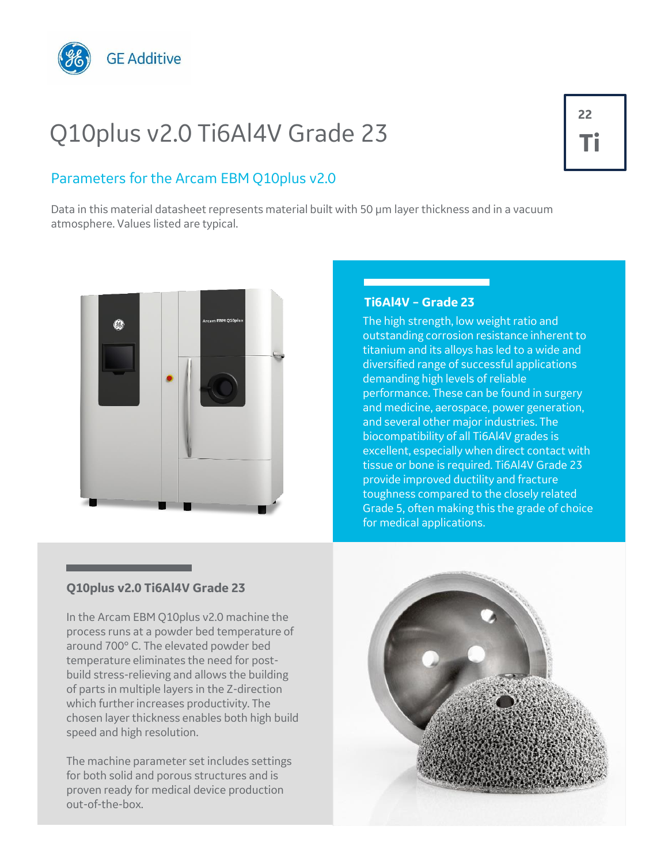

# Q10plus v2.0 Ti6Al4V Grade 23

### Parameters for the Arcam EBM Q10plus v2.0

Data in this material datasheet represents material built with 50 µm layer thickness and in a vacuum atmosphere. Values listed are typical.



#### **Ti6Al4V – Grade 23**

The high strength, low weight ratio and outstanding corrosion resistance inherent to titanium and its alloys has led to a wide and diversified range of successful applications demanding high levels of reliable performance. These can be found in surgery and medicine, aerospace, power generation, and several other major industries. The biocompatibility of all Ti6Al4V grades is excellent, especially when direct contact with tissue or bone is required. Ti6Al4V Grade 23 provide improved ductility and fracture toughness compared to the closely related Grade 5, often making this the grade of choice for medical applications.

#### **Q10plus v2.0 Ti6Al4V Grade 23**

In the Arcam EBM Q10plus v2.0 machine the process runs at a powder bed temperature of around 700° C. The elevated powder bed temperature eliminates the need for postbuild stress-relieving and allows the building of parts in multiple layers in the Z-direction which further increases productivity. The chosen layer thickness enables both high build speed and high resolution.

The machine parameter set includes settings for both solid and porous structures and is proven ready for medical device production out-of-the-box.



## **22 Ti**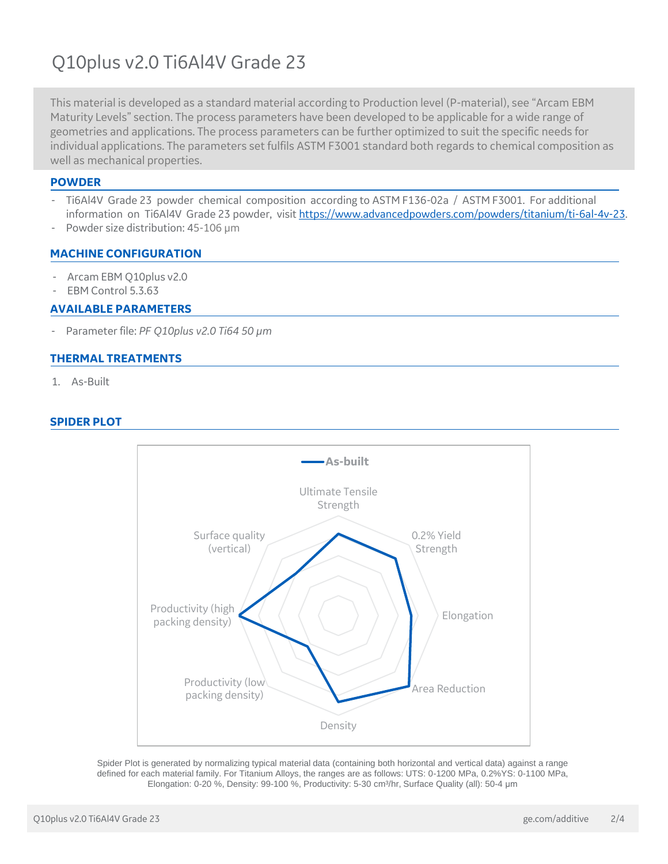## Q10plus v2.0 Ti6Al4V Grade 23

This material is developed as a standard material according to Production level (P-material), see "Arcam EBM Maturity Levels" section. The process parameters have been developed to be applicable for a wide range of geometries and applications. The process parameters can be further optimized to suit the specific needs for individual applications. The parameters set fulfils ASTM F3001 standard both regards to chemical composition as well as mechanical properties.

#### **POWDER**

- Ti6Al4V Grade 23 powder chemical composition according to ASTM F136-02a / ASTM F3001. For additional information on Ti6Al4V Grade 23 powder, visit<https://www.advancedpowders.com/powders/titanium/ti-6al-4v-23>.
- Powder size distribution: 45-106 µm

#### **MACHINE CONFIGURATION**

- Arcam EBM Q10plus v2.0
- EBM Control 5.3.63

#### **AVAILABLE PARAMETERS**

- Parameter file: *PF Q10plus v2.0 Ti64 50 µm*

#### **THERMAL TREATMENTS**

1. As-Built

#### **SPIDER PLOT**



Spider Plot is generated by normalizing typical material data (containing both horizontal and vertical data) against a range defined for each material family. For Titanium Alloys, the ranges are as follows: UTS: 0-1200 MPa, 0.2%YS: 0-1100 MPa, Elongation: 0-20 %, Density: 99-100 %, Productivity: 5-30 cm<sup>3</sup>/hr, Surface Quality (all): 50-4 µm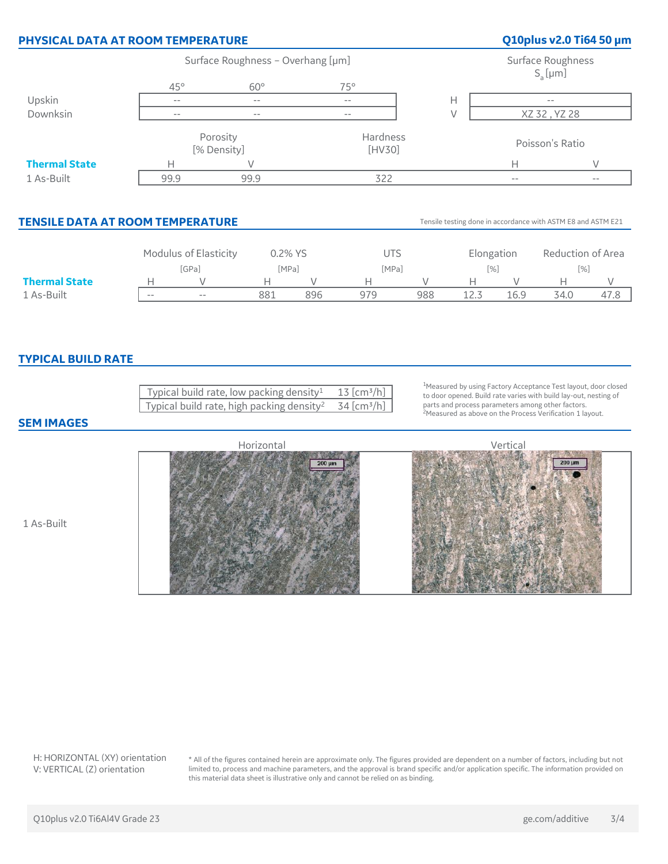|                          | PHYSICAL DATA AT ROOM TEMPERATURE                                                                                                                                                              |                                                     |                                                                                                                                         |                                                                         |               |                 | Q10plus v2.0 Ti64 50 µm             |                                                                                                                                                                                                                                                                                                                                                                                                                                                                                                                                                                                                                                                                                                                                                                                                                                                                                       |
|--------------------------|------------------------------------------------------------------------------------------------------------------------------------------------------------------------------------------------|-----------------------------------------------------|-----------------------------------------------------------------------------------------------------------------------------------------|-------------------------------------------------------------------------|---------------|-----------------|-------------------------------------|---------------------------------------------------------------------------------------------------------------------------------------------------------------------------------------------------------------------------------------------------------------------------------------------------------------------------------------------------------------------------------------------------------------------------------------------------------------------------------------------------------------------------------------------------------------------------------------------------------------------------------------------------------------------------------------------------------------------------------------------------------------------------------------------------------------------------------------------------------------------------------------|
|                          | Surface Roughness - Overhang [µm]                                                                                                                                                              |                                                     |                                                                                                                                         |                                                                         |               |                 | Surface Roughness                   |                                                                                                                                                                                                                                                                                                                                                                                                                                                                                                                                                                                                                                                                                                                                                                                                                                                                                       |
| $45^{\circ}$             | $60^\circ$                                                                                                                                                                                     |                                                     |                                                                                                                                         |                                                                         |               |                 |                                     |                                                                                                                                                                                                                                                                                                                                                                                                                                                                                                                                                                                                                                                                                                                                                                                                                                                                                       |
| $\overline{\phantom{m}}$ | $\overline{\phantom{a}}$ .                                                                                                                                                                     |                                                     | $\overline{\phantom{a}}$                                                                                                                |                                                                         |               |                 |                                     |                                                                                                                                                                                                                                                                                                                                                                                                                                                                                                                                                                                                                                                                                                                                                                                                                                                                                       |
| $-\,-$                   | $-\,-$                                                                                                                                                                                         |                                                     | $-\,-$                                                                                                                                  | $\vee$                                                                  |               |                 |                                     |                                                                                                                                                                                                                                                                                                                                                                                                                                                                                                                                                                                                                                                                                                                                                                                                                                                                                       |
| Porosity<br>[% Density]  |                                                                                                                                                                                                |                                                     | Hardness<br>[HV30]                                                                                                                      |                                                                         |               | Poisson's Ratio |                                     |                                                                                                                                                                                                                                                                                                                                                                                                                                                                                                                                                                                                                                                                                                                                                                                                                                                                                       |
| Н                        | $\vee$                                                                                                                                                                                         |                                                     |                                                                                                                                         |                                                                         |               | Н               |                                     | V                                                                                                                                                                                                                                                                                                                                                                                                                                                                                                                                                                                                                                                                                                                                                                                                                                                                                     |
| 99.9                     | 99.9                                                                                                                                                                                           |                                                     | 322                                                                                                                                     |                                                                         |               | $-$             |                                     | $-$                                                                                                                                                                                                                                                                                                                                                                                                                                                                                                                                                                                                                                                                                                                                                                                                                                                                                   |
|                          |                                                                                                                                                                                                |                                                     |                                                                                                                                         |                                                                         |               |                 |                                     |                                                                                                                                                                                                                                                                                                                                                                                                                                                                                                                                                                                                                                                                                                                                                                                                                                                                                       |
|                          | Modulus of Elasticity<br>0.2% YS                                                                                                                                                               |                                                     | <b>UTS</b>                                                                                                                              |                                                                         | Elongation    |                 | Reduction of Area                   |                                                                                                                                                                                                                                                                                                                                                                                                                                                                                                                                                                                                                                                                                                                                                                                                                                                                                       |
|                          |                                                                                                                                                                                                |                                                     | [MPa]                                                                                                                                   |                                                                         |               |                 |                                     |                                                                                                                                                                                                                                                                                                                                                                                                                                                                                                                                                                                                                                                                                                                                                                                                                                                                                       |
|                          |                                                                                                                                                                                                |                                                     |                                                                                                                                         |                                                                         |               |                 |                                     | V<br>47.8                                                                                                                                                                                                                                                                                                                                                                                                                                                                                                                                                                                                                                                                                                                                                                                                                                                                             |
|                          |                                                                                                                                                                                                |                                                     |                                                                                                                                         |                                                                         |               |                 |                                     |                                                                                                                                                                                                                                                                                                                                                                                                                                                                                                                                                                                                                                                                                                                                                                                                                                                                                       |
|                          |                                                                                                                                                                                                |                                                     |                                                                                                                                         |                                                                         |               |                 |                                     |                                                                                                                                                                                                                                                                                                                                                                                                                                                                                                                                                                                                                                                                                                                                                                                                                                                                                       |
|                          | Horizontal                                                                                                                                                                                     | 200 um                                              |                                                                                                                                         |                                                                         |               |                 | 200 µm                              |                                                                                                                                                                                                                                                                                                                                                                                                                                                                                                                                                                                                                                                                                                                                                                                                                                                                                       |
|                          | [GPa]<br>V<br>$\mathsf{H}% _{\mathbb{R}}^{X\times{N}}(\mathbb{R})=\mathsf{H}_{\mathbb{R}}^{X\times{N}}(\mathbb{R})$<br>$\overline{a}$<br>$\overline{\phantom{m}}$<br><b>TYPICAL BUILD RATE</b> | <b>TENSILE DATA AT ROOM TEMPERATURE</b><br>Н<br>881 | [MPa]<br>$\vee$<br>896<br>Typical build rate, low packing density <sup>1</sup><br>Typical build rate, high packing density <sup>2</sup> | 75°<br>Н<br>979<br>$13$ [cm <sup>3</sup> /h]<br>34 [cm <sup>3</sup> /h] | Н<br>V<br>988 | Н<br>12.3       | $[%]$<br>$\vee$<br>16.9<br>Vertical | $S_a$ [µm]<br>XZ 32, YZ 28<br>Tensile testing done in accordance with ASTM E8 and ASTM E21<br>$[%] \centering \subfloat[\centering ]{{\includegraphics[width=0.28\textwidth]{figs/mr4a120111111111100.pdf} }}% \subfloat[\centering ]{{\includegraphics[width=0.28\textwidth]{figs/mr4b1201111111000.pdf} }}% \subfloat[\centering ]{{\includegraphics[width=0.28\textwidth]{figs/mr4b120111111111000.pdf} }}% \subfloat[\centering ]{{\includegraphics[width=0.28\textwidth]{figs/mr4b1201111111000.pdf} }}% \subfloat[\centering ]{{\includegraphics[width=0.28\textwidth]{figs/mr4b12$<br>Н<br>34.0<br><sup>1</sup> Measured by using Factory Acceptance Test layout, door closed<br>to door opened. Build rate varies with build lay-out, nesting of<br>parts and process parameters among other factors.<br><sup>2</sup> Measured as above on the Process Verification 1 layout. |

H: HORIZONTAL (XY) orientation V: VERTICAL (Z) orientation

\* All of the figures contained herein are approximate only. The figures provided are dependent on a number of factors, including but not limited to, process and machine parameters, and the approval is brand specific and/or application specific. The information provided on this material data sheet is illustrative only and cannot be relied on as binding.